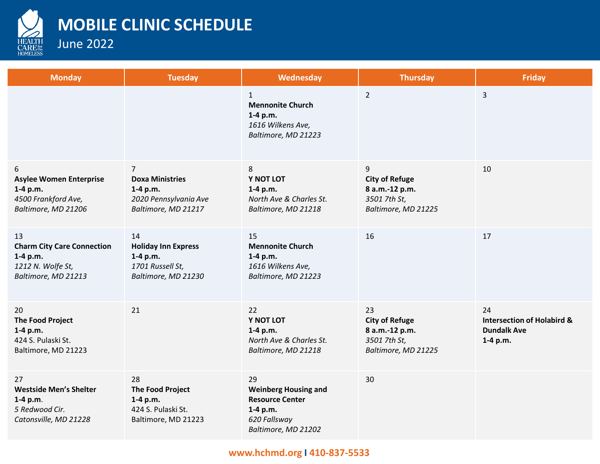

## **MOBILE CLINIC SCHEDULE**

June 2022

| <b>Monday</b>                                                                                   | <b>Tuesday</b>                                                                                       | Wednesday                                                                                                      | <b>Thursday</b>                                                                      | <b>Friday</b>                                                                   |
|-------------------------------------------------------------------------------------------------|------------------------------------------------------------------------------------------------------|----------------------------------------------------------------------------------------------------------------|--------------------------------------------------------------------------------------|---------------------------------------------------------------------------------|
|                                                                                                 |                                                                                                      | $\mathbf{1}$<br><b>Mennonite Church</b><br>$1-4 p.m.$<br>1616 Wilkens Ave,<br>Baltimore, MD 21223              | $\overline{2}$                                                                       | 3                                                                               |
| 6<br><b>Asylee Women Enterprise</b><br>1-4 p.m.<br>4500 Frankford Ave,<br>Baltimore, MD 21206   | $\overline{7}$<br><b>Doxa Ministries</b><br>1-4 p.m.<br>2020 Pennsylvania Ave<br>Baltimore, MD 21217 | 8<br>Y NOT LOT<br>1-4 p.m.<br>North Ave & Charles St.<br>Baltimore, MD 21218                                   | 9<br><b>City of Refuge</b><br>8 a.m.-12 p.m.<br>3501 7th St,<br>Baltimore, MD 21225  | 10                                                                              |
| 13<br><b>Charm City Care Connection</b><br>1-4 p.m.<br>1212 N. Wolfe St,<br>Baltimore, MD 21213 | 14<br><b>Holiday Inn Express</b><br>1-4 p.m.<br>1701 Russell St,<br>Baltimore, MD 21230              | 15<br><b>Mennonite Church</b><br>1-4 p.m.<br>1616 Wilkens Ave,<br>Baltimore, MD 21223                          | 16                                                                                   | 17                                                                              |
| 20<br><b>The Food Project</b><br>1-4 p.m.<br>424 S. Pulaski St.<br>Baltimore, MD 21223          | 21                                                                                                   | 22<br>Y NOT LOT<br>$1-4 p.m.$<br>North Ave & Charles St.<br>Baltimore, MD 21218                                | 23<br><b>City of Refuge</b><br>8 a.m.-12 p.m.<br>3501 7th St,<br>Baltimore, MD 21225 | 24<br><b>Intersection of Holabird &amp;</b><br><b>Dundalk Ave</b><br>$1-4 p.m.$ |
| 27<br><b>Westside Men's Shelter</b><br>$1-4 p.m.$<br>5 Redwood Cir.<br>Catonsville, MD 21228    | 28<br><b>The Food Project</b><br>1-4 p.m.<br>424 S. Pulaski St.<br>Baltimore, MD 21223               | 29<br><b>Weinberg Housing and</b><br><b>Resource Center</b><br>1-4 p.m.<br>620 Fallsway<br>Baltimore, MD 21202 | 30                                                                                   |                                                                                 |

## **www.hchmd.org I 410-837-5533**